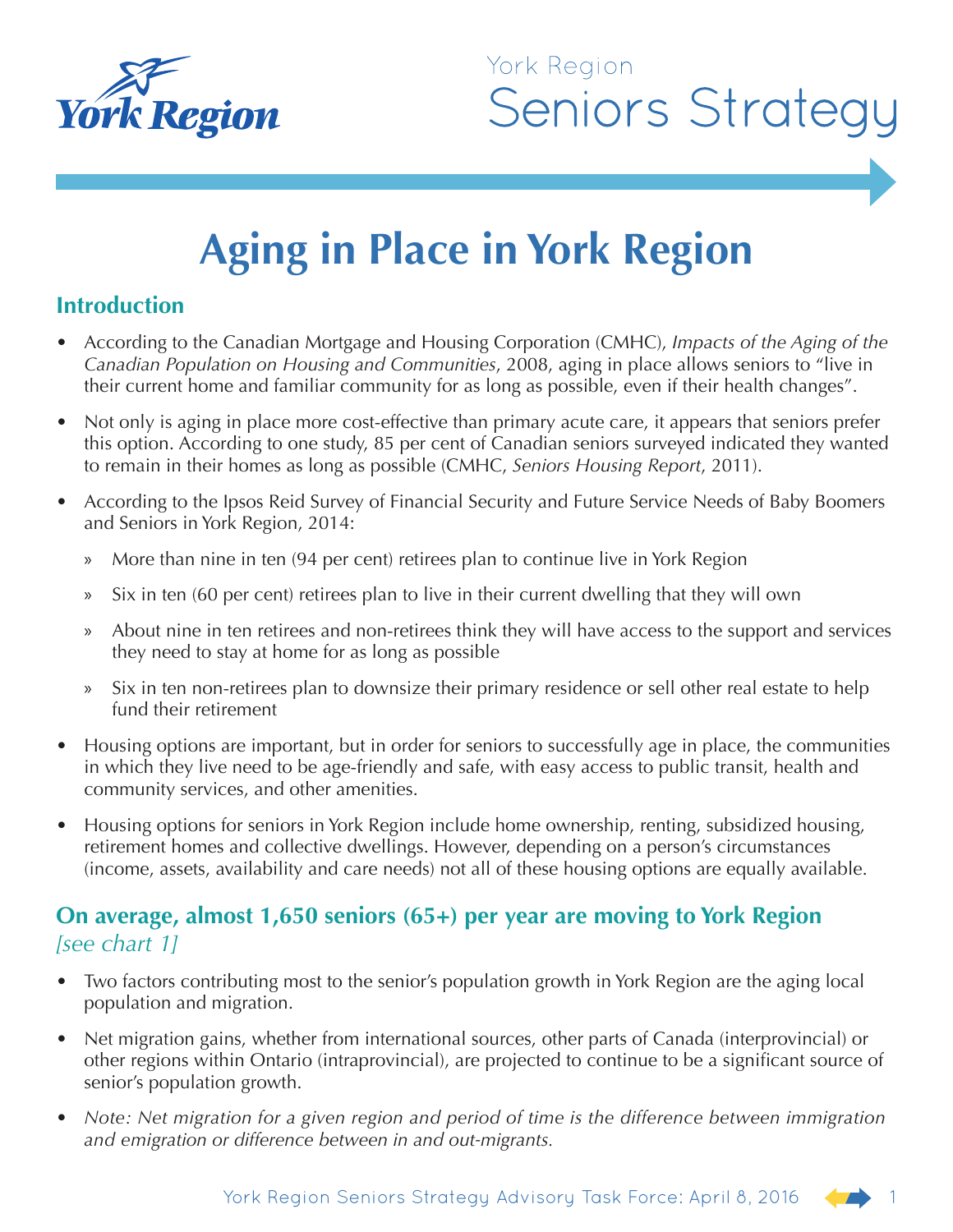

# York Region **Seniors Strategy**

# **Aging in Place in York Region**

#### **Introduction**

- According to the Canadian Mortgage and Housing Corporation (CMHC), *Impacts of the Aging of the Canadian Population on Housing and Communities*, 2008, aging in place allows seniors to "live in their current home and familiar community for as long as possible, even if their health changes".
- Not only is aging in place more cost-effective than primary acute care, it appears that seniors prefer this option. According to one study, 85 per cent of Canadian seniors surveyed indicated they wanted to remain in their homes as long as possible (CMHC, *Seniors Housing Report*, 2011).
- According to the Ipsos Reid Survey of Financial Security and Future Service Needs of Baby Boomers and Seniors in York Region, 2014:
	- » More than nine in ten (94 per cent) retirees plan to continue live in York Region
	- » Six in ten (60 per cent) retirees plan to live in their current dwelling that they will own
	- » About nine in ten retirees and non-retirees think they will have access to the support and services they need to stay at home for as long as possible
	- » Six in ten non-retirees plan to downsize their primary residence or sell other real estate to help fund their retirement
- Housing options are important, but in order for seniors to successfully age in place, the communities in which they live need to be age-friendly and safe, with easy access to public transit, health and community services, and other amenities.
- Housing options for seniors in York Region include home ownership, renting, subsidized housing, retirement homes and collective dwellings. However, depending on a person's circumstances (income, assets, availability and care needs) not all of these housing options are equally available.

#### **On average, almost 1,650 seniors (65+) per year are moving to York Region**  *[see chart 1]*

- Two factors contributing most to the senior's population growth in York Region are the aging local population and migration.
- Net migration gains, whether from international sources, other parts of Canada (interprovincial) or other regions within Ontario (intraprovincial), are projected to continue to be a significant source of senior's population growth.
- *Note: Net migration for a given region and period of time is the difference between immigration and emigration or difference between in and out-migrants.*

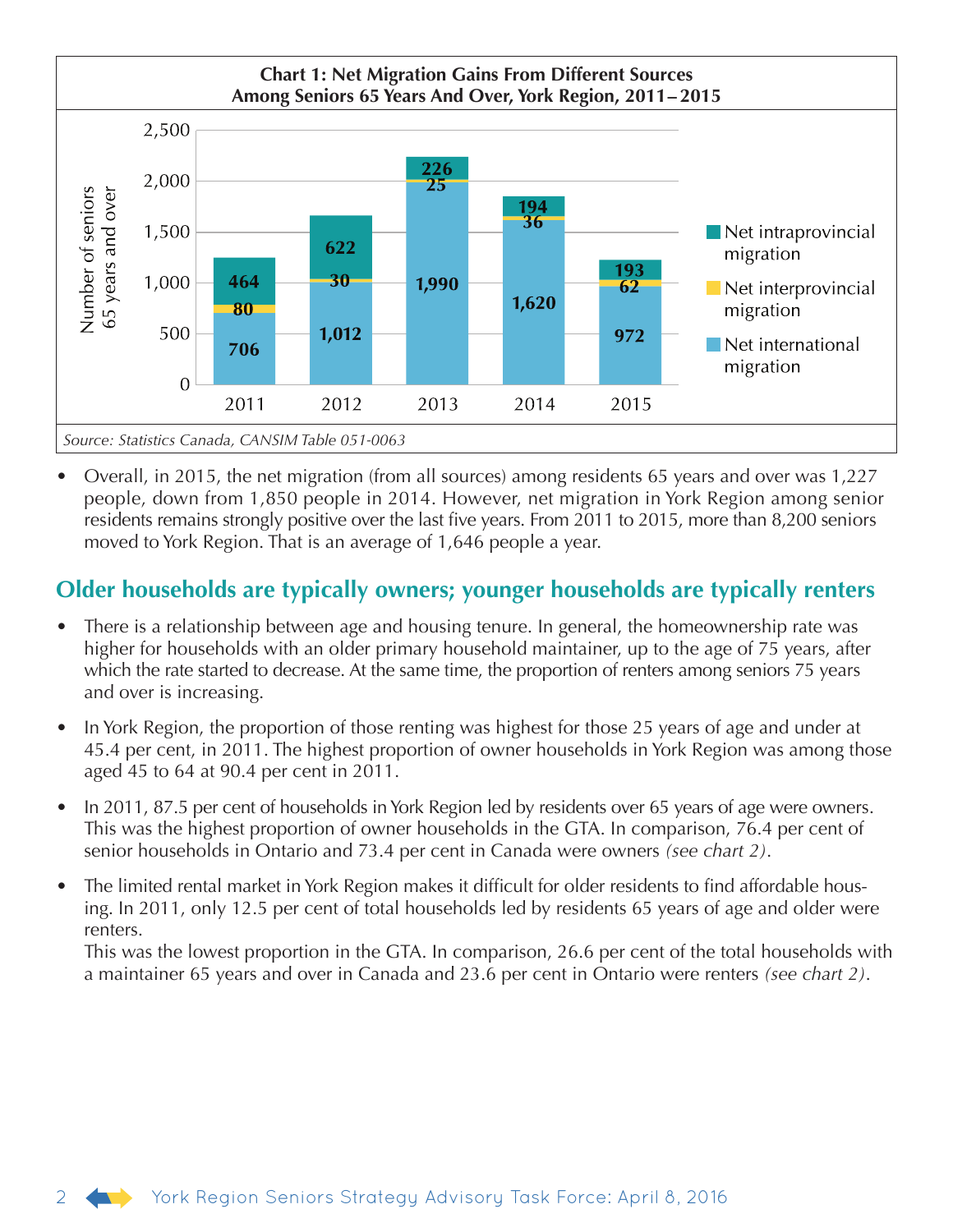

• Overall, in 2015, the net migration (from all sources) among residents 65 years and over was 1,227 people, down from 1,850 people in 2014. However, net migration in York Region among senior residents remains strongly positive over the last five years. From 2011 to 2015, more than 8,200 seniors moved to York Region. That is an average of 1,646 people a year.

#### **Older households are typically owners; younger households are typically renters**

- There is a relationship between age and housing tenure. In general, the homeownership rate was higher for households with an older primary household maintainer, up to the age of 75 years, after which the rate started to decrease. At the same time, the proportion of renters among seniors 75 years and over is increasing.
- In York Region, the proportion of those renting was highest for those 25 years of age and under at 45.4 per cent, in 2011. The highest proportion of owner households in York Region was among those aged 45 to 64 at 90.4 per cent in 2011.
- In 2011, 87.5 per cent of households in York Region led by residents over 65 years of age were owners. This was the highest proportion of owner households in the GTA. In comparison, 76.4 per cent of senior households in Ontario and 73.4 per cent in Canada were owners *(see chart 2)*.
- The limited rental market in York Region makes it difficult for older residents to find affordable housing. In 2011, only 12.5 per cent of total households led by residents 65 years of age and older were renters.

This was the lowest proportion in the GTA. In comparison, 26.6 per cent of the total households with a maintainer 65 years and over in Canada and 23.6 per cent in Ontario were renters *(see chart 2)*.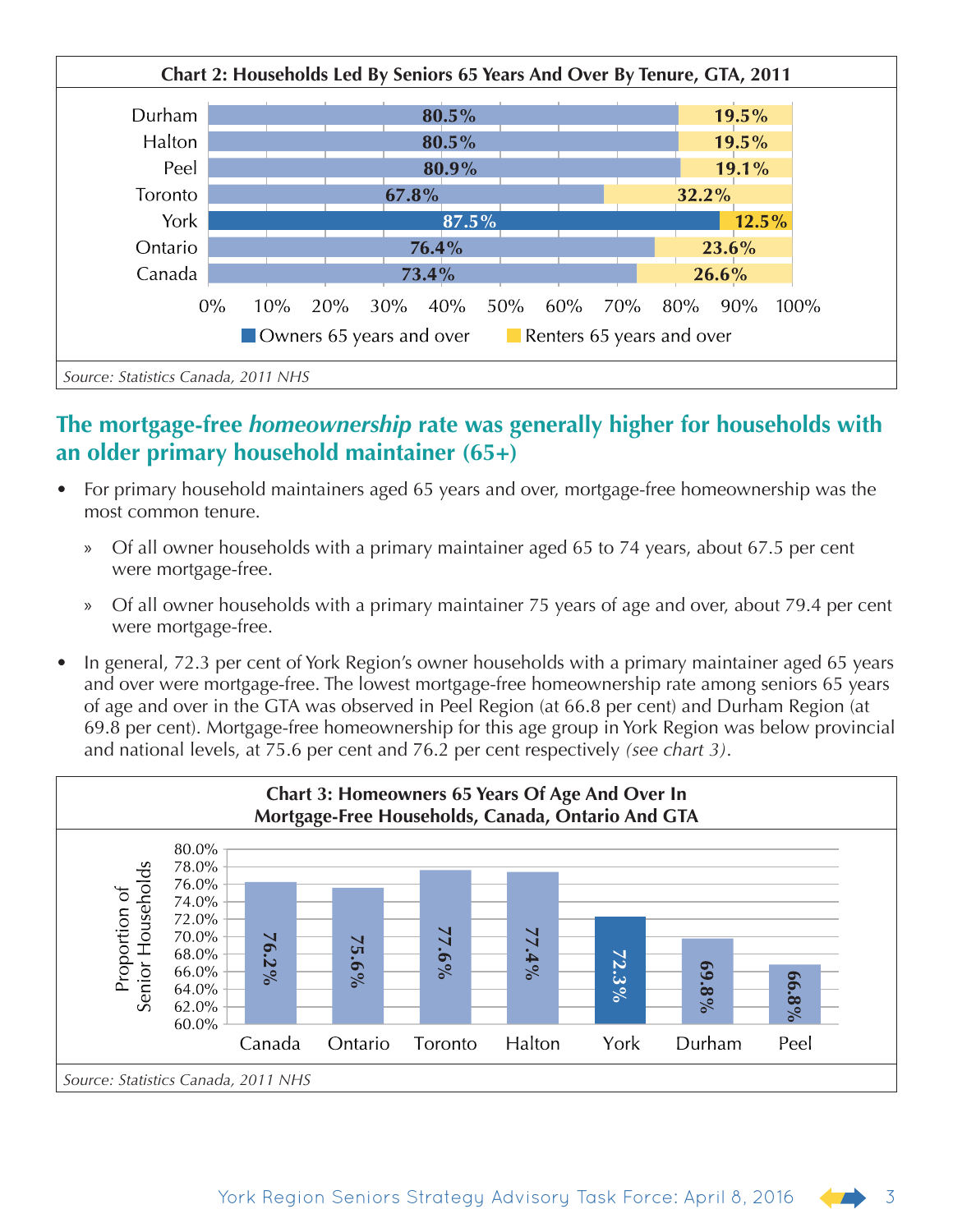

## **The mortgage-free** *homeownership* **rate was generally higher for households with an older primary household maintainer (65+)**

- For primary household maintainers aged 65 years and over, mortgage-free homeownership was the most common tenure.
	- » Of all owner households with a primary maintainer aged 65 to 74 years, about 67.5 per cent were mortgage-free.
	- » Of all owner households with a primary maintainer 75 years of age and over, about 79.4 per cent were mortgage-free.
- In general, 72.3 per cent of York Region's owner households with a primary maintainer aged 65 years and over were mortgage-free. The lowest mortgage-free homeownership rate among seniors 65 years of age and over in the GTA was observed in Peel Region (at 66.8 per cent) and Durham Region (at 69.8 per cent). Mortgage-free homeownership for this age group in York Region was below provincial and national levels, at 75.6 per cent and 76.2 per cent respectively *(see chart 3)*.

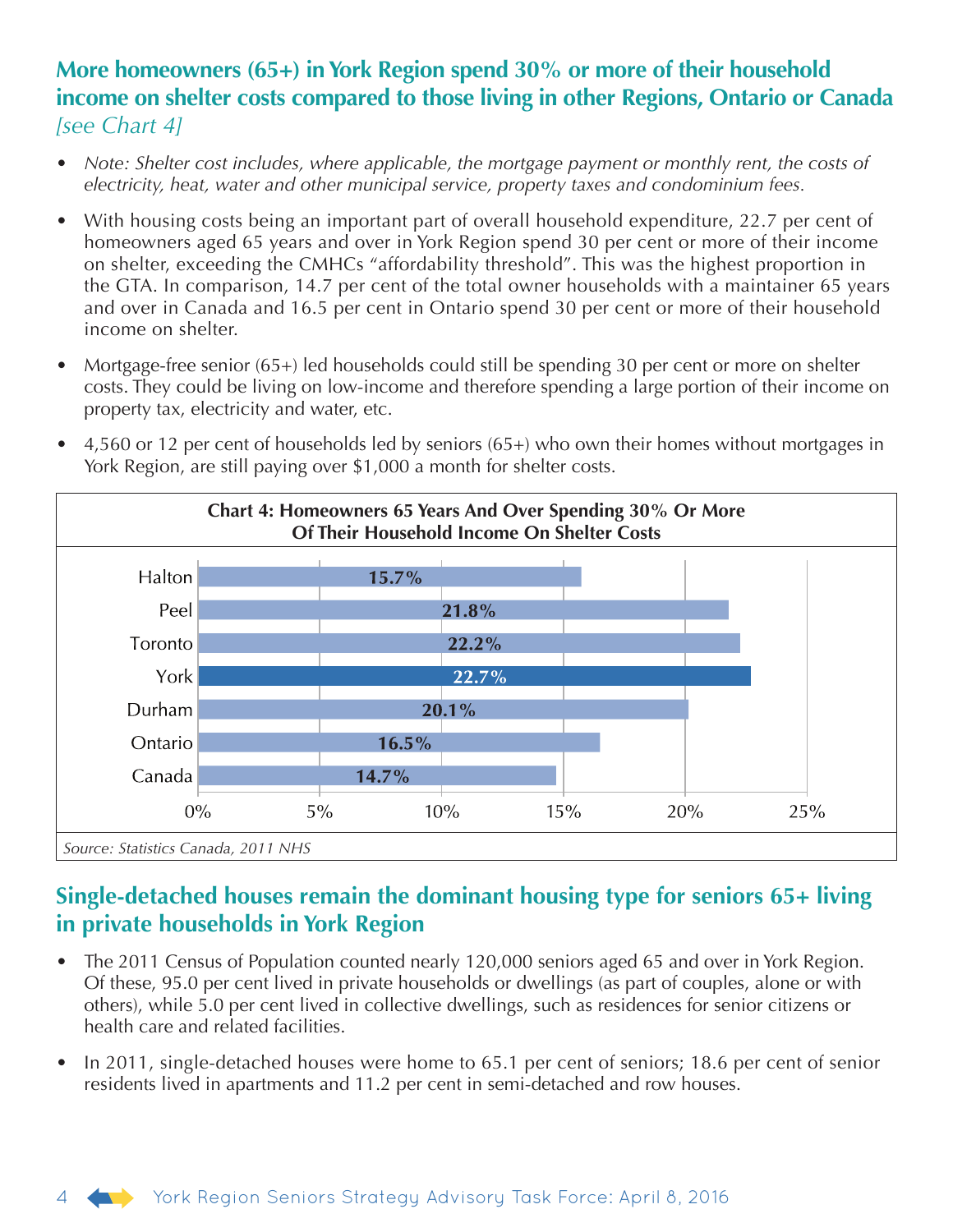#### **More homeowners (65+) in York Region spend 30% or more of their household income on shelter costs compared to those living in other Regions, Ontario or Canada**  *[see Chart 4]*

- *Note: Shelter cost includes, where applicable, the mortgage payment or monthly rent, the costs of electricity, heat, water and other municipal service, property taxes and condominium fees.*
- With housing costs being an important part of overall household expenditure, 22.7 per cent of homeowners aged 65 years and over in York Region spend 30 per cent or more of their income on shelter, exceeding the CMHCs "affordability threshold". This was the highest proportion in the GTA. In comparison, 14.7 per cent of the total owner households with a maintainer 65 years and over in Canada and 16.5 per cent in Ontario spend 30 per cent or more of their household income on shelter.
- Mortgage-free senior (65+) led households could still be spending 30 per cent or more on shelter costs. They could be living on low-income and therefore spending a large portion of their income on property tax, electricity and water, etc.



• 4,560 or 12 per cent of households led by seniors (65+) who own their homes without mortgages in York Region, are still paying over \$1,000 a month for shelter costs.

# **Single-detached houses remain the dominant housing type for seniors 65+ living in private households in York Region**

- The 2011 Census of Population counted nearly 120,000 seniors aged 65 and over in York Region. Of these, 95.0 per cent lived in private households or dwellings (as part of couples, alone or with others), while 5.0 per cent lived in collective dwellings, such as residences for senior citizens or health care and related facilities.
- In 2011, single-detached houses were home to 65.1 per cent of seniors; 18.6 per cent of senior residents lived in apartments and 11.2 per cent in semi-detached and row houses.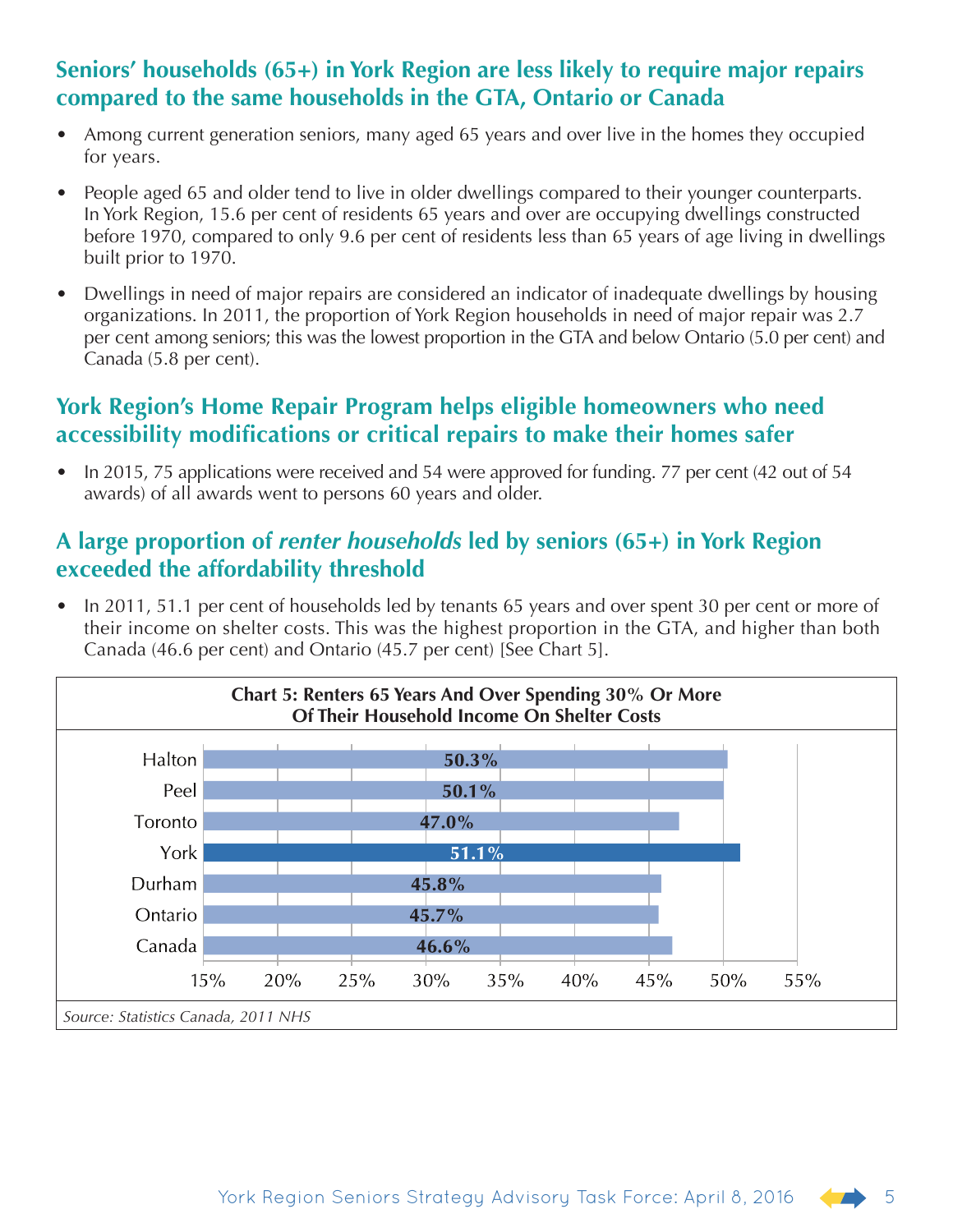## **Seniors' households (65+) in York Region are less likely to require major repairs compared to the same households in the GTA, Ontario or Canada**

- Among current generation seniors, many aged 65 years and over live in the homes they occupied for years.
- People aged 65 and older tend to live in older dwellings compared to their younger counterparts. In York Region, 15.6 per cent of residents 65 years and over are occupying dwellings constructed before 1970, compared to only 9.6 per cent of residents less than 65 years of age living in dwellings built prior to 1970.
- Dwellings in need of major repairs are considered an indicator of inadequate dwellings by housing organizations. In 2011, the proportion of York Region households in need of major repair was 2.7 per cent among seniors; this was the lowest proportion in the GTA and below Ontario (5.0 per cent) and Canada (5.8 per cent).

## **York Region's Home Repair Program helps eligible homeowners who need accessibility modifications or critical repairs to make their homes safer**

• In 2015, 75 applications were received and 54 were approved for funding. 77 per cent (42 out of 54 awards) of all awards went to persons 60 years and older.

#### **A large proportion of** *renter households* **led by seniors (65+) in York Region exceeded the affordability threshold**

• In 2011, 51.1 per cent of households led by tenants 65 years and over spent 30 per cent or more of their income on shelter costs. This was the highest proportion in the GTA, and higher than both Canada (46.6 per cent) and Ontario (45.7 per cent) [See Chart 5].

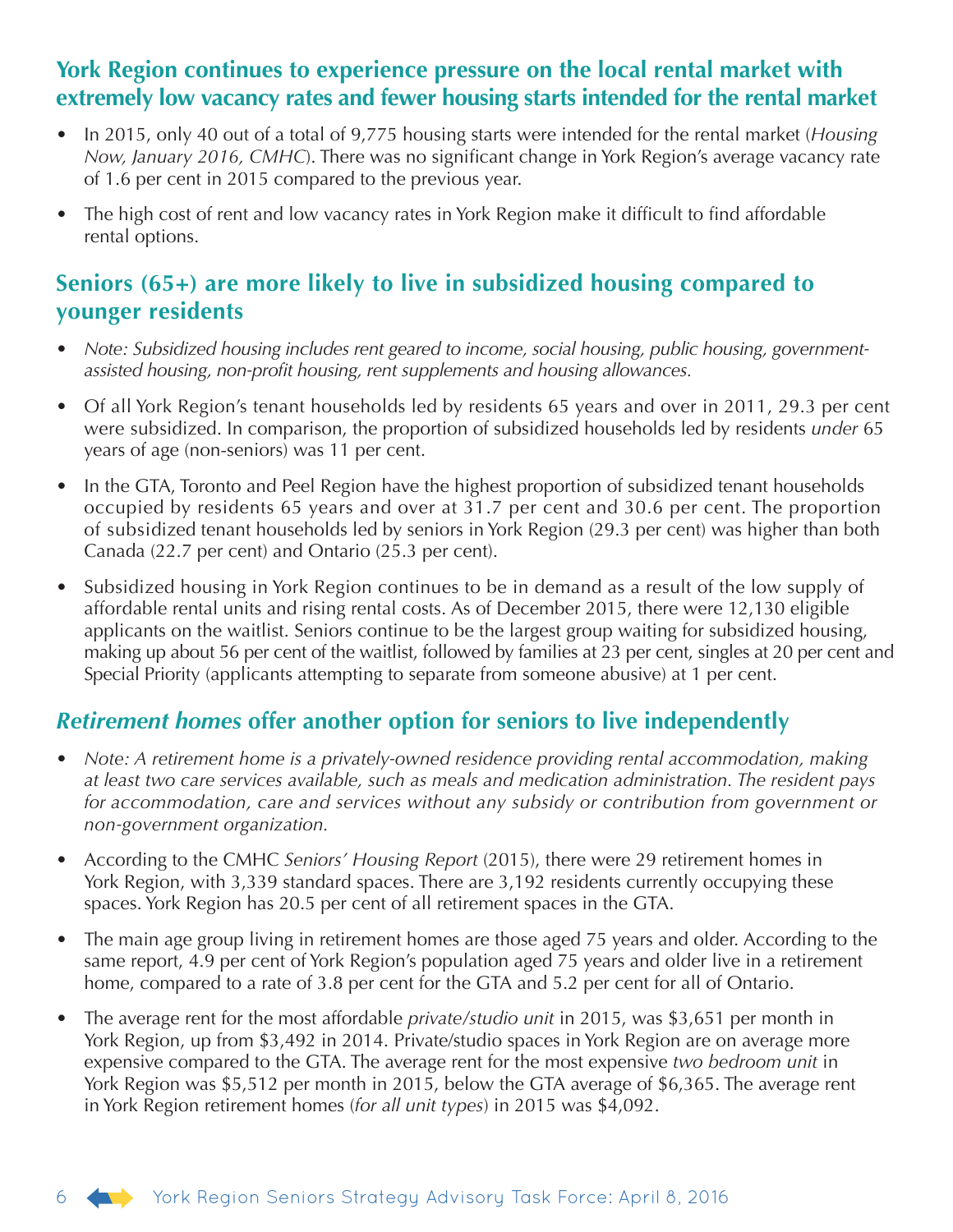#### **York Region continues to experience pressure on the local rental market with extremely low vacancy rates and fewer housing starts intended for the rental market**

- In 2015, only 40 out of a total of 9,775 housing starts were intended for the rental market (*Housing Now, January 2016, CMHC*). There was no significant change in York Region's average vacancy rate of 1.6 per cent in 2015 compared to the previous year.
- The high cost of rent and low vacancy rates in York Region make it difficult to find affordable rental options.

#### **Seniors (65+) are more likely to live in subsidized housing compared to younger residents**

- *Note: Subsidized housing includes rent geared to income, social housing, public housing, governmentassisted housing, non-profit housing, rent supplements and housing allowances.*
- Of all York Region's tenant households led by residents 65 years and over in 2011, 29.3 per cent were subsidized. In comparison, the proportion of subsidized households led by residents *under* 65 years of age (non-seniors) was 11 per cent.
- In the GTA, Toronto and Peel Region have the highest proportion of subsidized tenant households occupied by residents 65 years and over at 31.7 per cent and 30.6 per cent. The proportion of subsidized tenant households led by seniors in York Region (29.3 per cent) was higher than both Canada (22.7 per cent) and Ontario (25.3 per cent).
- Subsidized housing in York Region continues to be in demand as a result of the low supply of affordable rental units and rising rental costs. As of December 2015, there were 12,130 eligible applicants on the waitlist. Seniors continue to be the largest group waiting for subsidized housing, making up about 56 per cent of the waitlist, followed by families at 23 per cent, singles at 20 per cent and Special Priority (applicants attempting to separate from someone abusive) at 1 per cent.

#### *Retirement homes* **offer another option for seniors to live independently**

- *Note: A retirement home is a privately-owned residence providing rental accommodation, making at least two care services available, such as meals and medication administration. The resident pays for accommodation, care and services without any subsidy or contribution from government or non-government organization.*
- According to the CMHC *Seniors' Housing Report* (2015), there were 29 retirement homes in York Region, with 3,339 standard spaces. There are 3,192 residents currently occupying these spaces. York Region has 20.5 per cent of all retirement spaces in the GTA.
- The main age group living in retirement homes are those aged 75 years and older. According to the same report, 4.9 per cent of York Region's population aged 75 years and older live in a retirement home, compared to a rate of 3.8 per cent for the GTA and 5.2 per cent for all of Ontario.
- The average rent for the most affordable *private/studio unit* in 2015, was \$3,651 per month in York Region, up from \$3,492 in 2014. Private/studio spaces in York Region are on average more expensive compared to the GTA. The average rent for the most expensive *two bedroom unit* in York Region was \$5,512 per month in 2015, below the GTA average of \$6,365. The average rent in York Region retirement homes (*for all unit types*) in 2015 was \$4,092.